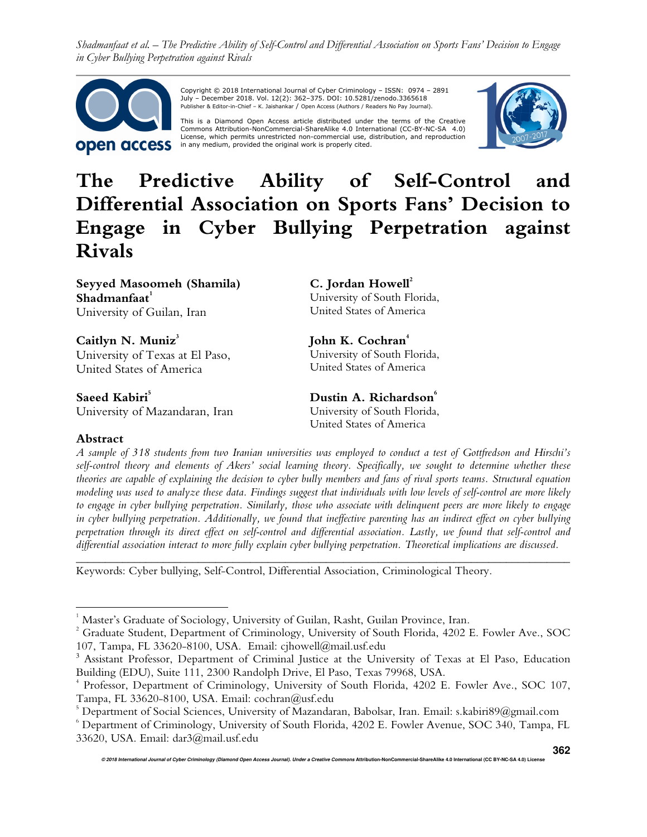

 Copyright © 2018 International Journal of Cyber Criminology – ISSN: 0974 – 2891 July – December 2018. Vol. 12(2): 362–375. DOI: 10.5281/zenodo.3365618 Publisher & Editor-in-Chief – K. Jaishankar / Open Access (Authors / Readers No Pay Journal).

This is a Diamond Open Access article distributed under the terms of the Creative<br>Commons Attribution-NonCommercial-ShareAlike 4.0 International (CC-BY-NC-SA -4.0)<br>License, which permits unrestricted non-commercial use, di in any medium, provided the original work is properly cited.



# **The Predictive Ability of Self-Control and Differential Association on Sports Fans' Decision to Engage in Cyber Bullying Perpetration against Rivals**

**Seyyed Masoomeh (Shamila) Shadmanfaat<sup>1</sup>** University of Guilan, Iran

Caitlyn N. Muniz<sup>3</sup> University of Texas at El Paso, United States of America

**Saeed Kabiri<sup>5</sup>** University of Mazandaran, Iran

**C. Jordan Howell<sup>2</sup>**  University of South Florida, United States of America

John K. Cochran<sup>4</sup> University of South Florida, United States of America

**Dustin A. Richardson<sup>6</sup>** University of South Florida, United States of America

# **Abstract**

<u>.</u>

*A sample of 318 students from two Iranian universities was employed to conduct a test of Gottfredson and Hirschi's self-control theory and elements of Akers' social learning theory. Specifically, we sought to determine whether these theories are capable of explaining the decision to cyber bully members and fans of rival sports teams. Structural equation modeling was used to analyze these data. Findings suggest that individuals with low levels of self-control are more likely to engage in cyber bullying perpetration. Similarly, those who associate with delinquent peers are more likely to engage in cyber bullying perpetration. Additionally, we found that ineffective parenting has an indirect effect on cyber bullying perpetration through its direct effect on self-control and differential association. Lastly, we found that self-control and differential association interact to more fully explain cyber bullying perpetration. Theoretical implications are discussed.* 

*\_\_\_\_\_\_\_\_\_\_\_\_\_\_\_\_\_\_\_\_\_\_\_\_\_\_\_\_\_\_\_\_\_\_\_\_\_\_\_\_\_\_\_\_\_\_\_\_\_\_\_\_\_\_\_\_\_\_\_\_\_\_\_\_\_\_\_\_\_\_\_\_\_\_\_\_\_\_\_\_\_\_\_\_\_* 

Keywords: Cyber bullying, Self-Control, Differential Association, Criminological Theory.

**© 2018 International Journal of Cyber Criminology (Diamond Open Access Journal). Under a Creative Commons Attribution-NonCommercial-ShareAlike 4.0 International (CC BY-NC-SA 4.0) License** 

<sup>1</sup> Master's Graduate of Sociology, University of Guilan, Rasht, Guilan Province, Iran.

<sup>&</sup>lt;sup>2</sup> Graduate Student, Department of Criminology, University of South Florida, 4202 E. Fowler Ave., SOC 107, Tampa, FL 33620-8100, USA. Email: cjhowell@mail.usf.edu

<sup>3</sup> Assistant Professor, Department of Criminal Justice at the University of Texas at El Paso, Education Building (EDU), Suite 111, 2300 Randolph Drive, El Paso, Texas 79968, USA.

<sup>4</sup> Professor, Department of Criminology, University of South Florida, 4202 E. Fowler Ave., SOC 107, Tampa, FL 33620-8100, USA. Email: cochran@usf.edu

 $^5$  Department of Social Sciences, University of Mazandaran, Babolsar, Iran. Email: s.kabiri $89\textcircled{a}$ gmail.com

 $^{\circ}$  Department of Criminology, University of South Florida, 4202 E. Fowler Avenue, SOC 340, Tampa, FL 33620, USA. Email: dar3@mail.usf.edu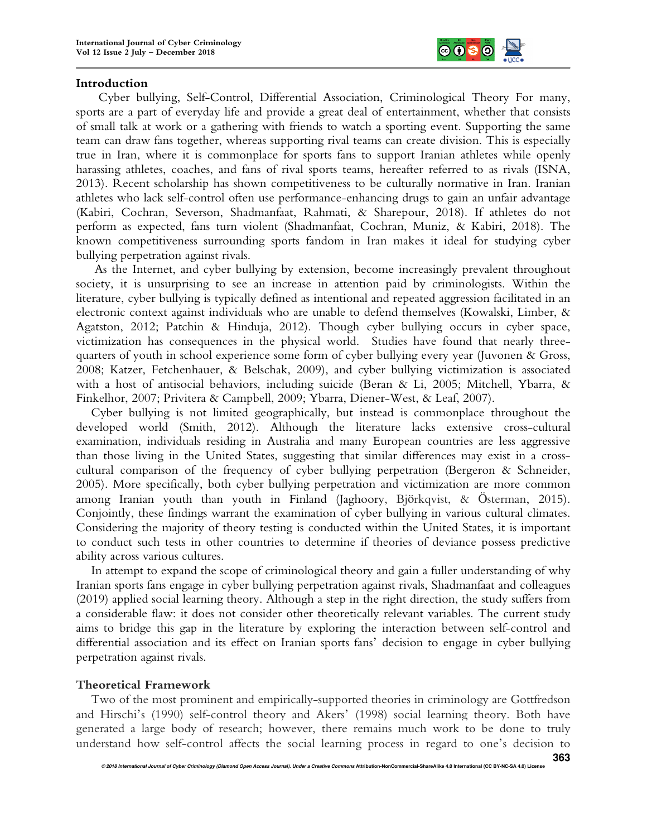

#### **Introduction**

Cyber bullying, Self-Control, Differential Association, Criminological Theory For many, sports are a part of everyday life and provide a great deal of entertainment, whether that consists of small talk at work or a gathering with friends to watch a sporting event. Supporting the same team can draw fans together, whereas supporting rival teams can create division. This is especially true in Iran, where it is commonplace for sports fans to support Iranian athletes while openly harassing athletes, coaches, and fans of rival sports teams, hereafter referred to as rivals (ISNA, 2013). Recent scholarship has shown competitiveness to be culturally normative in Iran. Iranian athletes who lack self-control often use performance-enhancing drugs to gain an unfair advantage (Kabiri, Cochran, Severson, Shadmanfaat, Rahmati, & Sharepour, 2018). If athletes do not perform as expected, fans turn violent (Shadmanfaat, Cochran, Muniz, & Kabiri, 2018). The known competitiveness surrounding sports fandom in Iran makes it ideal for studying cyber bullying perpetration against rivals.

 As the Internet, and cyber bullying by extension, become increasingly prevalent throughout society, it is unsurprising to see an increase in attention paid by criminologists. Within the literature, cyber bullying is typically defined as intentional and repeated aggression facilitated in an electronic context against individuals who are unable to defend themselves (Kowalski, Limber, & Agatston, 2012; Patchin & Hinduja, 2012). Though cyber bullying occurs in cyber space, victimization has consequences in the physical world. Studies have found that nearly threequarters of youth in school experience some form of cyber bullying every year (Juvonen & Gross, 2008; Katzer, Fetchenhauer, & Belschak, 2009), and cyber bullying victimization is associated with a host of antisocial behaviors, including suicide (Beran & Li, 2005; Mitchell, Ybarra, & Finkelhor, 2007; Privitera & Campbell, 2009; Ybarra, Diener-West, & Leaf, 2007).

Cyber bullying is not limited geographically, but instead is commonplace throughout the developed world (Smith, 2012). Although the literature lacks extensive cross-cultural examination, individuals residing in Australia and many European countries are less aggressive than those living in the United States, suggesting that similar differences may exist in a crosscultural comparison of the frequency of cyber bullying perpetration (Bergeron & Schneider, 2005). More specifically, both cyber bullying perpetration and victimization are more common among Iranian youth than youth in Finland (Jaghoory, Björkqvist, & Österman, 2015). Conjointly, these findings warrant the examination of cyber bullying in various cultural climates. Considering the majority of theory testing is conducted within the United States, it is important to conduct such tests in other countries to determine if theories of deviance possess predictive ability across various cultures.

In attempt to expand the scope of criminological theory and gain a fuller understanding of why Iranian sports fans engage in cyber bullying perpetration against rivals, Shadmanfaat and colleagues (2019) applied social learning theory. Although a step in the right direction, the study suffers from a considerable flaw: it does not consider other theoretically relevant variables. The current study aims to bridge this gap in the literature by exploring the interaction between self-control and differential association and its effect on Iranian sports fans' decision to engage in cyber bullying perpetration against rivals.

## **Theoretical Framework**

Two of the most prominent and empirically-supported theories in criminology are Gottfredson and Hirschi's (1990) self-control theory and Akers' (1998) social learning theory. Both have generated a large body of research; however, there remains much work to be done to truly understand how self-control affects the social learning process in regard to one's decision to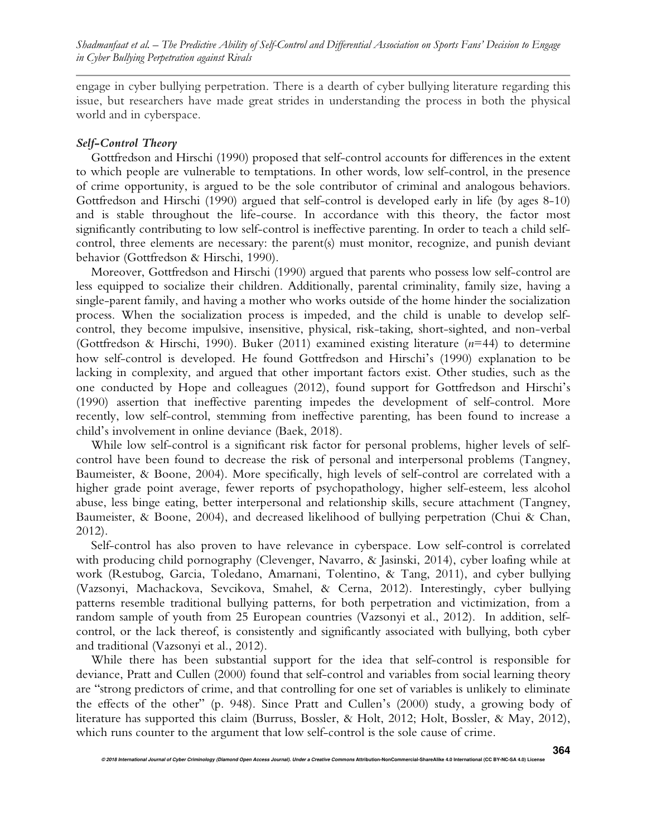engage in cyber bullying perpetration. There is a dearth of cyber bullying literature regarding this issue, but researchers have made great strides in understanding the process in both the physical world and in cyberspace.

## *Self-Control Theory*

Gottfredson and Hirschi (1990) proposed that self-control accounts for differences in the extent to which people are vulnerable to temptations. In other words, low self-control, in the presence of crime opportunity, is argued to be the sole contributor of criminal and analogous behaviors. Gottfredson and Hirschi (1990) argued that self-control is developed early in life (by ages 8-10) and is stable throughout the life-course. In accordance with this theory, the factor most significantly contributing to low self-control is ineffective parenting. In order to teach a child selfcontrol, three elements are necessary: the parent(s) must monitor, recognize, and punish deviant behavior (Gottfredson & Hirschi, 1990).

Moreover, Gottfredson and Hirschi (1990) argued that parents who possess low self-control are less equipped to socialize their children. Additionally, parental criminality, family size, having a single-parent family, and having a mother who works outside of the home hinder the socialization process. When the socialization process is impeded, and the child is unable to develop selfcontrol, they become impulsive, insensitive, physical, risk-taking, short-sighted, and non-verbal (Gottfredson & Hirschi, 1990). Buker (2011) examined existing literature (*n*=44) to determine how self-control is developed. He found Gottfredson and Hirschi's (1990) explanation to be lacking in complexity, and argued that other important factors exist. Other studies, such as the one conducted by Hope and colleagues (2012), found support for Gottfredson and Hirschi's (1990) assertion that ineffective parenting impedes the development of self-control. More recently, low self-control, stemming from ineffective parenting, has been found to increase a child's involvement in online deviance (Baek, 2018).

While low self-control is a significant risk factor for personal problems, higher levels of selfcontrol have been found to decrease the risk of personal and interpersonal problems (Tangney, Baumeister, & Boone, 2004). More specifically, high levels of self-control are correlated with a higher grade point average, fewer reports of psychopathology, higher self-esteem, less alcohol abuse, less binge eating, better interpersonal and relationship skills, secure attachment (Tangney, Baumeister, & Boone, 2004), and decreased likelihood of bullying perpetration (Chui & Chan, 2012).

Self-control has also proven to have relevance in cyberspace. Low self-control is correlated with producing child pornography (Clevenger, Navarro, & Jasinski, 2014), cyber loafing while at work (Restubog, Garcia, Toledano, Amarnani, Tolentino, & Tang, 2011), and cyber bullying (Vazsonyi, Machackova, Sevcikova, Smahel, & Cerna, 2012). Interestingly, cyber bullying patterns resemble traditional bullying patterns, for both perpetration and victimization, from a random sample of youth from 25 European countries (Vazsonyi et al., 2012). In addition, selfcontrol, or the lack thereof, is consistently and significantly associated with bullying, both cyber and traditional (Vazsonyi et al., 2012).

While there has been substantial support for the idea that self-control is responsible for deviance, Pratt and Cullen (2000) found that self-control and variables from social learning theory are "strong predictors of crime, and that controlling for one set of variables is unlikely to eliminate the effects of the other" (p. 948). Since Pratt and Cullen's (2000) study, a growing body of literature has supported this claim (Burruss, Bossler, & Holt, 2012; Holt, Bossler, & May, 2012), which runs counter to the argument that low self-control is the sole cause of crime.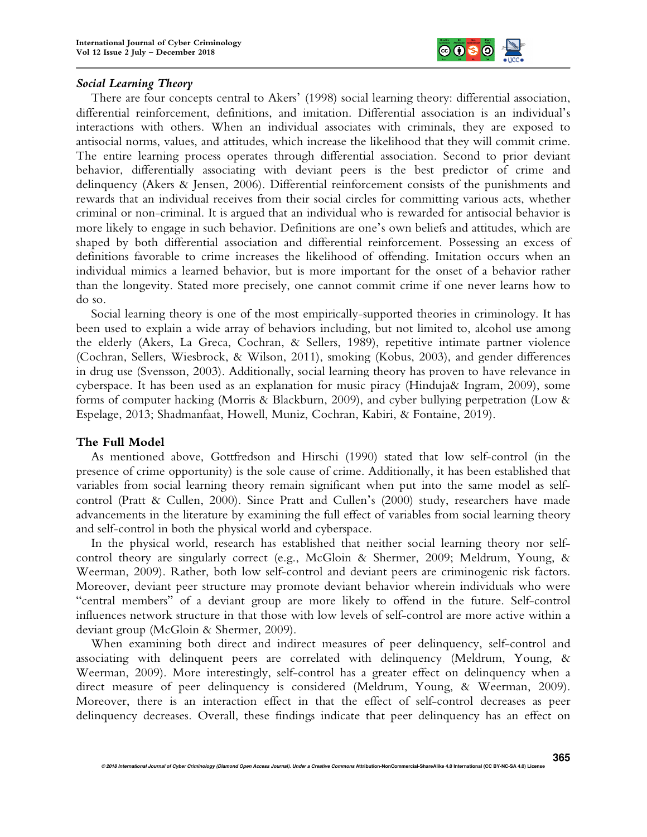

## *Social Learning Theory*

There are four concepts central to Akers' (1998) social learning theory: differential association, differential reinforcement, definitions, and imitation. Differential association is an individual's interactions with others. When an individual associates with criminals, they are exposed to antisocial norms, values, and attitudes, which increase the likelihood that they will commit crime. The entire learning process operates through differential association. Second to prior deviant behavior, differentially associating with deviant peers is the best predictor of crime and delinquency (Akers & Jensen, 2006). Differential reinforcement consists of the punishments and rewards that an individual receives from their social circles for committing various acts, whether criminal or non-criminal. It is argued that an individual who is rewarded for antisocial behavior is more likely to engage in such behavior. Definitions are one's own beliefs and attitudes, which are shaped by both differential association and differential reinforcement. Possessing an excess of definitions favorable to crime increases the likelihood of offending. Imitation occurs when an individual mimics a learned behavior, but is more important for the onset of a behavior rather than the longevity. Stated more precisely, one cannot commit crime if one never learns how to do so.

Social learning theory is one of the most empirically-supported theories in criminology. It has been used to explain a wide array of behaviors including, but not limited to, alcohol use among the elderly (Akers, La Greca, Cochran, & Sellers, 1989), repetitive intimate partner violence (Cochran, Sellers, Wiesbrock, & Wilson, 2011), smoking (Kobus, 2003), and gender differences in drug use (Svensson, 2003). Additionally, social learning theory has proven to have relevance in cyberspace. It has been used as an explanation for music piracy (Hinduja& Ingram, 2009), some forms of computer hacking (Morris & Blackburn, 2009), and cyber bullying perpetration (Low & Espelage, 2013; Shadmanfaat, Howell, Muniz, Cochran, Kabiri, & Fontaine, 2019).

# **The Full Model**

As mentioned above, Gottfredson and Hirschi (1990) stated that low self-control (in the presence of crime opportunity) is the sole cause of crime. Additionally, it has been established that variables from social learning theory remain significant when put into the same model as selfcontrol (Pratt & Cullen, 2000). Since Pratt and Cullen's (2000) study, researchers have made advancements in the literature by examining the full effect of variables from social learning theory and self-control in both the physical world and cyberspace.

In the physical world, research has established that neither social learning theory nor selfcontrol theory are singularly correct (e.g., McGloin & Shermer, 2009; Meldrum, Young, & Weerman, 2009). Rather, both low self-control and deviant peers are criminogenic risk factors. Moreover, deviant peer structure may promote deviant behavior wherein individuals who were "central members" of a deviant group are more likely to offend in the future. Self-control influences network structure in that those with low levels of self-control are more active within a deviant group (McGloin & Shermer, 2009).

When examining both direct and indirect measures of peer delinquency, self-control and associating with delinquent peers are correlated with delinquency (Meldrum, Young, & Weerman, 2009). More interestingly, self-control has a greater effect on delinquency when a direct measure of peer delinquency is considered (Meldrum, Young, & Weerman, 2009). Moreover, there is an interaction effect in that the effect of self-control decreases as peer delinquency decreases. Overall, these findings indicate that peer delinquency has an effect on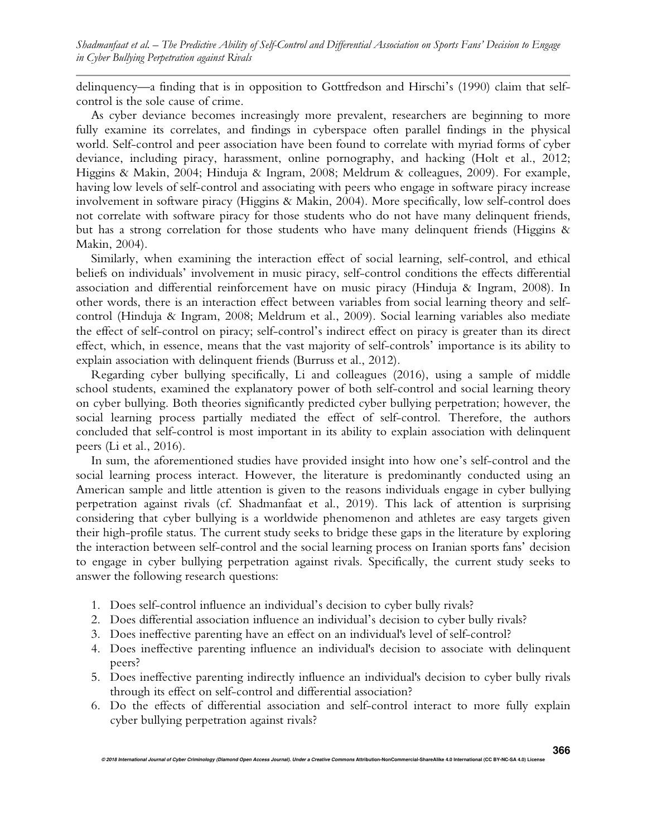delinquency—a finding that is in opposition to Gottfredson and Hirschi's (1990) claim that selfcontrol is the sole cause of crime.

As cyber deviance becomes increasingly more prevalent, researchers are beginning to more fully examine its correlates, and findings in cyberspace often parallel findings in the physical world. Self-control and peer association have been found to correlate with myriad forms of cyber deviance, including piracy, harassment, online pornography, and hacking (Holt et al., 2012; Higgins & Makin, 2004; Hinduja & Ingram, 2008; Meldrum & colleagues, 2009). For example, having low levels of self-control and associating with peers who engage in software piracy increase involvement in software piracy (Higgins & Makin, 2004). More specifically, low self-control does not correlate with software piracy for those students who do not have many delinquent friends, but has a strong correlation for those students who have many delinquent friends (Higgins & Makin, 2004).

Similarly, when examining the interaction effect of social learning, self-control, and ethical beliefs on individuals' involvement in music piracy, self-control conditions the effects differential association and differential reinforcement have on music piracy (Hinduja & Ingram, 2008). In other words, there is an interaction effect between variables from social learning theory and selfcontrol (Hinduja & Ingram, 2008; Meldrum et al., 2009). Social learning variables also mediate the effect of self-control on piracy; self-control's indirect effect on piracy is greater than its direct effect, which, in essence, means that the vast majority of self-controls' importance is its ability to explain association with delinquent friends (Burruss et al., 2012).

Regarding cyber bullying specifically, Li and colleagues (2016), using a sample of middle school students, examined the explanatory power of both self-control and social learning theory on cyber bullying. Both theories significantly predicted cyber bullying perpetration; however, the social learning process partially mediated the effect of self-control. Therefore, the authors concluded that self-control is most important in its ability to explain association with delinquent peers (Li et al., 2016).

In sum, the aforementioned studies have provided insight into how one's self-control and the social learning process interact. However, the literature is predominantly conducted using an American sample and little attention is given to the reasons individuals engage in cyber bullying perpetration against rivals (cf. Shadmanfaat et al., 2019). This lack of attention is surprising considering that cyber bullying is a worldwide phenomenon and athletes are easy targets given their high-profile status. The current study seeks to bridge these gaps in the literature by exploring the interaction between self-control and the social learning process on Iranian sports fans' decision to engage in cyber bullying perpetration against rivals. Specifically, the current study seeks to answer the following research questions:

- 1. Does self-control influence an individual's decision to cyber bully rivals?
- 2. Does differential association influence an individual's decision to cyber bully rivals?
- 3. Does ineffective parenting have an effect on an individual's level of self-control?
- 4. Does ineffective parenting influence an individual's decision to associate with delinquent peers?
- 5. Does ineffective parenting indirectly influence an individual's decision to cyber bully rivals through its effect on self-control and differential association?
- 6. Do the effects of differential association and self-control interact to more fully explain cyber bullying perpetration against rivals?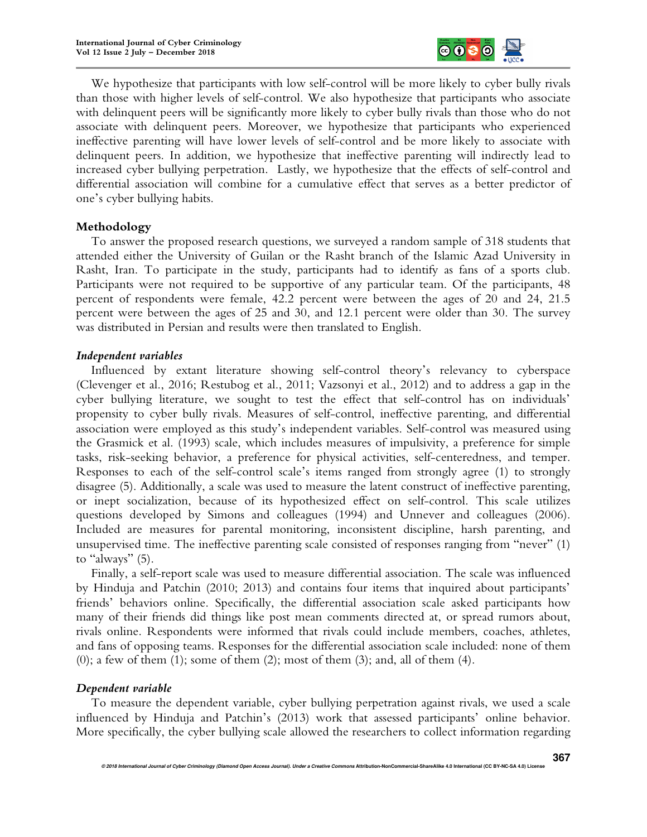

We hypothesize that participants with low self-control will be more likely to cyber bully rivals than those with higher levels of self-control. We also hypothesize that participants who associate with delinquent peers will be significantly more likely to cyber bully rivals than those who do not associate with delinquent peers. Moreover, we hypothesize that participants who experienced ineffective parenting will have lower levels of self-control and be more likely to associate with delinquent peers. In addition, we hypothesize that ineffective parenting will indirectly lead to increased cyber bullying perpetration. Lastly, we hypothesize that the effects of self-control and differential association will combine for a cumulative effect that serves as a better predictor of one's cyber bullying habits.

## **Methodology**

To answer the proposed research questions, we surveyed a random sample of 318 students that attended either the University of Guilan or the Rasht branch of the Islamic Azad University in Rasht, Iran. To participate in the study, participants had to identify as fans of a sports club. Participants were not required to be supportive of any particular team. Of the participants, 48 percent of respondents were female, 42.2 percent were between the ages of 20 and 24, 21.5 percent were between the ages of 25 and 30, and 12.1 percent were older than 30. The survey was distributed in Persian and results were then translated to English.

## *Independent variables*

Influenced by extant literature showing self-control theory's relevancy to cyberspace (Clevenger et al., 2016; Restubog et al., 2011; Vazsonyi et al., 2012) and to address a gap in the cyber bullying literature, we sought to test the effect that self-control has on individuals' propensity to cyber bully rivals. Measures of self-control, ineffective parenting, and differential association were employed as this study's independent variables. Self-control was measured using the Grasmick et al. (1993) scale, which includes measures of impulsivity, a preference for simple tasks, risk-seeking behavior, a preference for physical activities, self-centeredness, and temper. Responses to each of the self-control scale's items ranged from strongly agree (1) to strongly disagree (5). Additionally, a scale was used to measure the latent construct of ineffective parenting, or inept socialization, because of its hypothesized effect on self-control. This scale utilizes questions developed by Simons and colleagues (1994) and Unnever and colleagues (2006). Included are measures for parental monitoring, inconsistent discipline, harsh parenting, and unsupervised time. The ineffective parenting scale consisted of responses ranging from "never" (1) to "always" (5).

Finally, a self-report scale was used to measure differential association. The scale was influenced by Hinduja and Patchin (2010; 2013) and contains four items that inquired about participants' friends' behaviors online. Specifically, the differential association scale asked participants how many of their friends did things like post mean comments directed at, or spread rumors about, rivals online. Respondents were informed that rivals could include members, coaches, athletes, and fans of opposing teams. Responses for the differential association scale included: none of them  $(0)$ ; a few of them  $(1)$ ; some of them  $(2)$ ; most of them  $(3)$ ; and, all of them  $(4)$ .

# *Dependent variable*

To measure the dependent variable, cyber bullying perpetration against rivals, we used a scale influenced by Hinduja and Patchin's (2013) work that assessed participants' online behavior. More specifically, the cyber bullying scale allowed the researchers to collect information regarding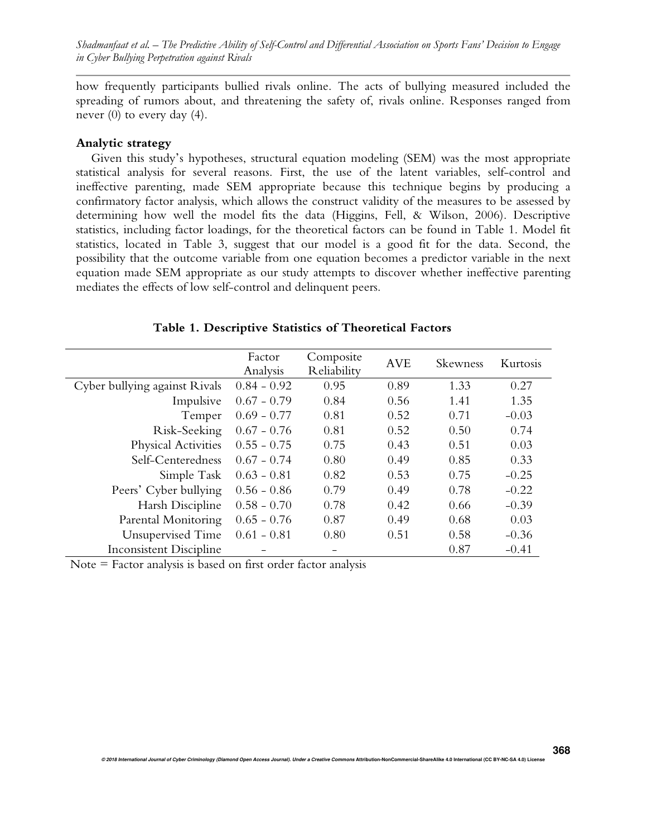how frequently participants bullied rivals online. The acts of bullying measured included the spreading of rumors about, and threatening the safety of, rivals online. Responses ranged from never (0) to every day (4).

#### **Analytic strategy**

Given this study's hypotheses, structural equation modeling (SEM) was the most appropriate statistical analysis for several reasons. First, the use of the latent variables, self-control and ineffective parenting, made SEM appropriate because this technique begins by producing a confirmatory factor analysis, which allows the construct validity of the measures to be assessed by determining how well the model fits the data (Higgins, Fell, & Wilson, 2006). Descriptive statistics, including factor loadings, for the theoretical factors can be found in Table 1. Model fit statistics, located in Table 3, suggest that our model is a good fit for the data. Second, the possibility that the outcome variable from one equation becomes a predictor variable in the next equation made SEM appropriate as our study attempts to discover whether ineffective parenting mediates the effects of low self-control and delinquent peers.

|                               | Factor<br>Analysis | Composite<br>Reliability | <b>AVE</b> | Skewness | Kurtosis |
|-------------------------------|--------------------|--------------------------|------------|----------|----------|
| Cyber bullying against Rivals | $0.84 - 0.92$      | 0.95                     | 0.89       | 1.33     | 0.27     |
| Impulsive                     | $0.67 - 0.79$      | 0.84                     | 0.56       | 1.41     | 1.35     |
| Temper                        | $0.69 - 0.77$      | 0.81                     | 0.52       | 0.71     | $-0.03$  |
| Risk-Seeking                  | $0.67 - 0.76$      | 0.81                     | 0.52       | 0.50     | 0.74     |
| Physical Activities           | $0.55 - 0.75$      | 0.75                     | 0.43       | 0.51     | 0.03     |
| Self-Centeredness             | $0.67 - 0.74$      | 0.80                     | 0.49       | 0.85     | 0.33     |
| Simple Task                   | $0.63 - 0.81$      | 0.82                     | 0.53       | 0.75     | $-0.25$  |
| Peers' Cyber bullying         | $0.56 - 0.86$      | 0.79                     | 0.49       | 0.78     | $-0.22$  |
| Harsh Discipline              | $0.58 - 0.70$      | 0.78                     | 0.42       | 0.66     | $-0.39$  |
| Parental Monitoring           | $0.65 - 0.76$      | 0.87                     | 0.49       | 0.68     | 0.03     |
| Unsupervised Time             | $0.61 - 0.81$      | 0.80                     | 0.51       | 0.58     | $-0.36$  |
| Inconsistent Discipline       |                    |                          |            | 0.87     | $-0.41$  |

#### **Table 1. Descriptive Statistics of Theoretical Factors**

Note = Factor analysis is based on first order factor analysis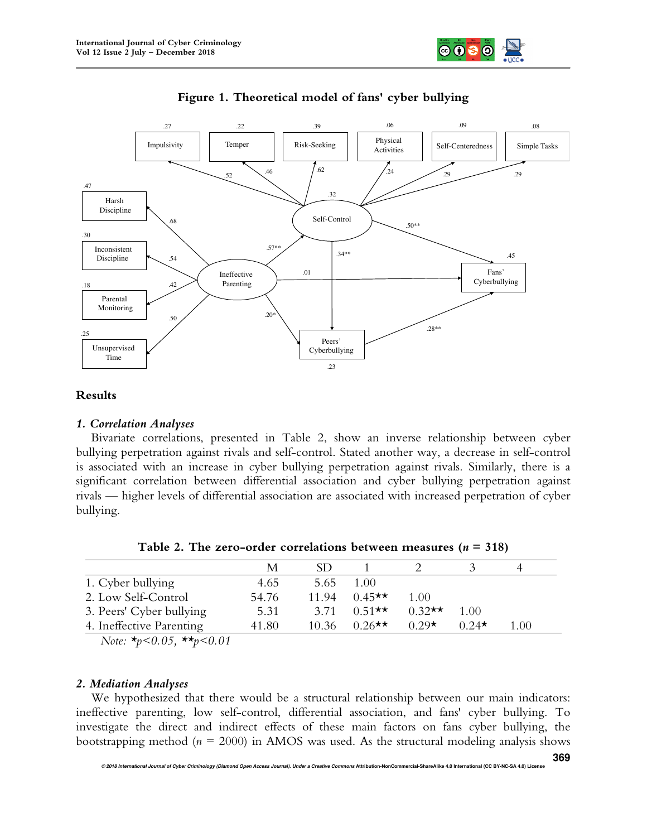





## **Results**

## *1. Correlation Analyses*

Bivariate correlations, presented in Table 2, show an inverse relationship between cyber bullying perpetration against rivals and self-control. Stated another way, a decrease in self-control is associated with an increase in cyber bullying perpetration against rivals. Similarly, there is a significant correlation between differential association and cyber bullying perpetration against rivals — higher levels of differential association are associated with increased perpetration of cyber bullying.

|                                                 | М     | SD    |                      |          |             |      |
|-------------------------------------------------|-------|-------|----------------------|----------|-------------|------|
| 1. Cyber bullying                               | 4.65  | 5.65  | 1.00                 |          |             |      |
| 2. Low Self-Control                             | 54.76 | 11.94 | $0.45**$             | 1.00     |             |      |
| 3. Peers' Cyber bullying                        | 5.31  | 3.71  | $0.51$ <sup>**</sup> | $0.32**$ | 1.00        |      |
| 4. Ineffective Parenting                        | 41.80 | 10.36 | $0.26$ **            | $0.29*$  | $0.24\star$ | 1.00 |
| Note: $\star_p < 0.05$ , $\star \star_p < 0.01$ |       |       |                      |          |             |      |

## *2. Mediation Analyses*

We hypothesized that there would be a structural relationship between our main indicators: ineffective parenting, low self-control, differential association, and fans' cyber bullying. To investigate the direct and indirect effects of these main factors on fans cyber bullying, the bootstrapping method ( $n = 2000$ ) in AMOS was used. As the structural modeling analysis shows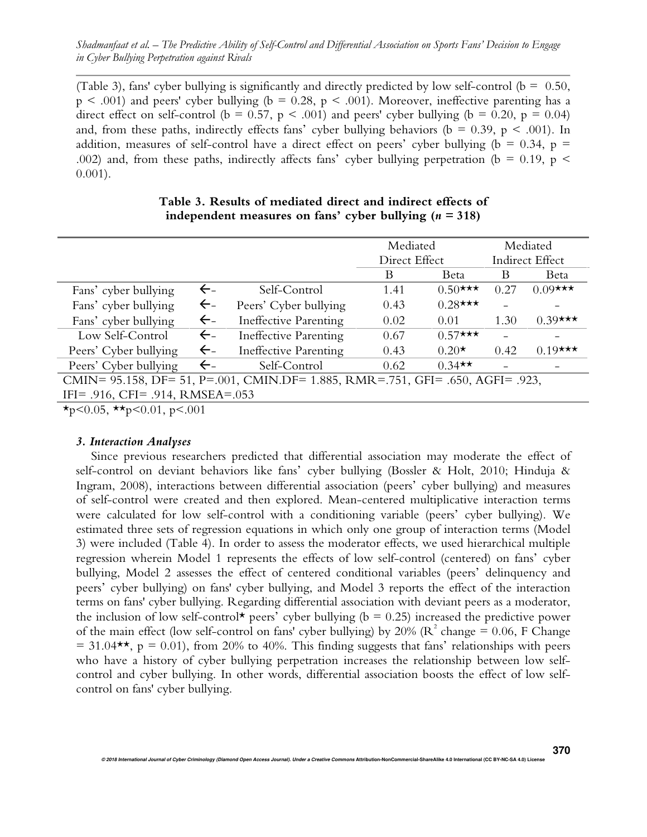(Table 3), fans' cyber bullying is significantly and directly predicted by low self-control ( $b = 0.50$ ,  $p \leq .001$ ) and peers' cyber bullying (b = 0.28, p < .001). Moreover, ineffective parenting has a direct effect on self-control (b = 0.57, p < .001) and peers' cyber bullying (b = 0.20, p = 0.04) and, from these paths, indirectly effects fans' cyber bullying behaviors ( $b = 0.39$ ,  $p < .001$ ). In addition, measures of self-control have a direct effect on peers' cyber bullying ( $b = 0.34$ ,  $p =$ .002) and, from these paths, indirectly affects fans' cyber bullying perpetration (b = 0.19, p < 0.001).

|                                                                                |              |                              | Mediated<br>Direct Effect |            | Mediated        |            |
|--------------------------------------------------------------------------------|--------------|------------------------------|---------------------------|------------|-----------------|------------|
|                                                                                |              |                              |                           |            | Indirect Effect |            |
|                                                                                |              |                              | B                         | Beta       | B               | Beta       |
| Fans' cyber bullying                                                           | $\leftarrow$ | Self-Control                 | 1.41                      | $0.50$ *** | 0.27            | $0.09$ *** |
| Fans' cyber bullying                                                           | $\leftarrow$ | Peers' Cyber bullying        | 0.43                      | $0.28$ *** |                 |            |
| Fans' cyber bullying                                                           | $\leftarrow$ | <b>Ineffective Parenting</b> | 0.02                      | 0.01       | 1.30            | $0.39$ *** |
| Low Self-Control                                                               | $\leftarrow$ | Ineffective Parenting        | 0.67                      | $0.57$ *** |                 |            |
| Peers' Cyber bullying                                                          | $\leftarrow$ | Ineffective Parenting        | 0.43                      | $0.20*$    | 0.42            | $0.19$ *** |
| Peers' Cyber bullying                                                          | $\leftarrow$ | Self-Control                 | 0.62                      | $0.34**$   |                 |            |
| CMIN= 95.158, DF= 51, P=.001, CMIN.DF= 1.885, RMR=.751, GFI= .650, AGFI= .923, |              |                              |                           |            |                 |            |
| IFI= $.916$ , CFI= $.914$ , RMSEA= $.053$                                      |              |                              |                           |            |                 |            |
| $\perp$ 2005 $\perp$ 2004 2004                                                 |              |                              |                           |            |                 |            |

## **Table 3. Results of mediated direct and indirect effects of independent measures on fans' cyber bullying**  $(n = 318)$

 $\star$ p<0.05,  $\star\star$ p<0.01, p<.001

## *3. Interaction Analyses*

Since previous researchers predicted that differential association may moderate the effect of self-control on deviant behaviors like fans' cyber bullying (Bossler & Holt, 2010; Hinduja & Ingram, 2008), interactions between differential association (peers' cyber bullying) and measures of self-control were created and then explored. Mean-centered multiplicative interaction terms were calculated for low self-control with a conditioning variable (peers' cyber bullying). We estimated three sets of regression equations in which only one group of interaction terms (Model 3) were included (Table 4). In order to assess the moderator effects, we used hierarchical multiple regression wherein Model 1 represents the effects of low self-control (centered) on fans' cyber bullying, Model 2 assesses the effect of centered conditional variables (peers' delinquency and peers' cyber bullying) on fans' cyber bullying, and Model 3 reports the effect of the interaction terms on fans' cyber bullying. Regarding differential association with deviant peers as a moderator, the inclusion of low self-control\* peers' cyber bullying ( $b = 0.25$ ) increased the predictive power of the main effect (low self-control on fans' cyber bullying) by 20% ( $\mathbb{R}^2$  change = 0.06, F Change  $= 31.04$ \*\*, p = 0.01), from 20% to 40%. This finding suggests that fans' relationships with peers who have a history of cyber bullying perpetration increases the relationship between low selfcontrol and cyber bullying. In other words, differential association boosts the effect of low selfcontrol on fans' cyber bullying.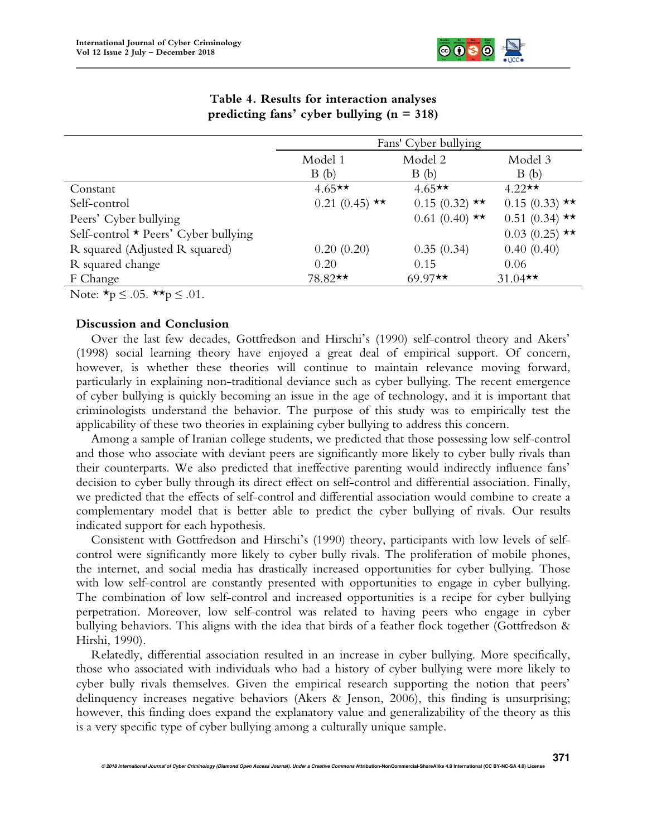

|                                            | Fans' Cyber bullying |                 |                 |  |  |
|--------------------------------------------|----------------------|-----------------|-----------------|--|--|
|                                            | Model 1              | Model 2         | Model 3         |  |  |
|                                            | B(b)                 | B(b)            | B(b)            |  |  |
| Constant                                   | $4.65**$             | $4.65**$        | $4.22**$        |  |  |
| Self-control                               | $0.21(0.45)$ **      | $0.15(0.32)$ ** | $0.15(0.33)$ ** |  |  |
| Peers' Cyber bullying                      |                      | $0.61(0.40)$ ** | $0.51(0.34)$ ** |  |  |
| Self-control $\star$ Peers' Cyber bullying |                      |                 | $0.03(0.25)$ ** |  |  |
| R squared (Adjusted R squared)             | 0.20(0.20)           | 0.35(0.34)      | 0.40(0.40)      |  |  |
| R squared change                           | 0.20                 | 0.15            | 0.06            |  |  |
| F Change                                   | $78.82**$            | $69.97**$       | $31.04**$       |  |  |

# **Table 4. Results for interaction analyses predicting fans' cyber bullying (n = 318)**

Note:  $\star_p \leq .05$ .  $\star \star_p \leq .01$ .

# **Discussion and Conclusion**

Over the last few decades, Gottfredson and Hirschi's (1990) self-control theory and Akers' (1998) social learning theory have enjoyed a great deal of empirical support. Of concern, however, is whether these theories will continue to maintain relevance moving forward, particularly in explaining non-traditional deviance such as cyber bullying. The recent emergence of cyber bullying is quickly becoming an issue in the age of technology, and it is important that criminologists understand the behavior. The purpose of this study was to empirically test the applicability of these two theories in explaining cyber bullying to address this concern.

Among a sample of Iranian college students, we predicted that those possessing low self-control and those who associate with deviant peers are significantly more likely to cyber bully rivals than their counterparts. We also predicted that ineffective parenting would indirectly influence fans' decision to cyber bully through its direct effect on self-control and differential association. Finally, we predicted that the effects of self-control and differential association would combine to create a complementary model that is better able to predict the cyber bullying of rivals. Our results indicated support for each hypothesis.

Consistent with Gottfredson and Hirschi's (1990) theory, participants with low levels of selfcontrol were significantly more likely to cyber bully rivals. The proliferation of mobile phones, the internet, and social media has drastically increased opportunities for cyber bullying. Those with low self-control are constantly presented with opportunities to engage in cyber bullying. The combination of low self-control and increased opportunities is a recipe for cyber bullying perpetration. Moreover, low self-control was related to having peers who engage in cyber bullying behaviors. This aligns with the idea that birds of a feather flock together (Gottfredson & Hirshi, 1990).

Relatedly, differential association resulted in an increase in cyber bullying. More specifically, those who associated with individuals who had a history of cyber bullying were more likely to cyber bully rivals themselves. Given the empirical research supporting the notion that peers' delinquency increases negative behaviors (Akers & Jenson, 2006), this finding is unsurprising; however, this finding does expand the explanatory value and generalizability of the theory as this is a very specific type of cyber bullying among a culturally unique sample.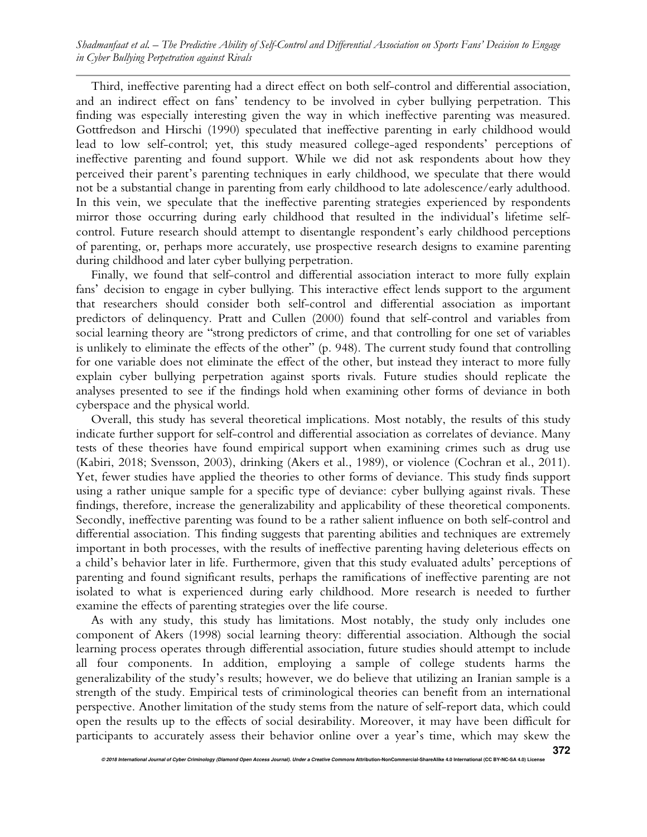Third, ineffective parenting had a direct effect on both self-control and differential association, and an indirect effect on fans' tendency to be involved in cyber bullying perpetration. This finding was especially interesting given the way in which ineffective parenting was measured. Gottfredson and Hirschi (1990) speculated that ineffective parenting in early childhood would lead to low self-control; yet, this study measured college-aged respondents' perceptions of ineffective parenting and found support. While we did not ask respondents about how they perceived their parent's parenting techniques in early childhood, we speculate that there would not be a substantial change in parenting from early childhood to late adolescence/early adulthood. In this vein, we speculate that the ineffective parenting strategies experienced by respondents mirror those occurring during early childhood that resulted in the individual's lifetime selfcontrol. Future research should attempt to disentangle respondent's early childhood perceptions of parenting, or, perhaps more accurately, use prospective research designs to examine parenting during childhood and later cyber bullying perpetration.

Finally, we found that self-control and differential association interact to more fully explain fans' decision to engage in cyber bullying. This interactive effect lends support to the argument that researchers should consider both self-control and differential association as important predictors of delinquency. Pratt and Cullen (2000) found that self-control and variables from social learning theory are "strong predictors of crime, and that controlling for one set of variables is unlikely to eliminate the effects of the other" (p. 948). The current study found that controlling for one variable does not eliminate the effect of the other, but instead they interact to more fully explain cyber bullying perpetration against sports rivals. Future studies should replicate the analyses presented to see if the findings hold when examining other forms of deviance in both cyberspace and the physical world.

Overall, this study has several theoretical implications. Most notably, the results of this study indicate further support for self-control and differential association as correlates of deviance. Many tests of these theories have found empirical support when examining crimes such as drug use (Kabiri, 2018; Svensson, 2003), drinking (Akers et al., 1989), or violence (Cochran et al., 2011). Yet, fewer studies have applied the theories to other forms of deviance. This study finds support using a rather unique sample for a specific type of deviance: cyber bullying against rivals. These findings, therefore, increase the generalizability and applicability of these theoretical components. Secondly, ineffective parenting was found to be a rather salient influence on both self-control and differential association. This finding suggests that parenting abilities and techniques are extremely important in both processes, with the results of ineffective parenting having deleterious effects on a child's behavior later in life. Furthermore, given that this study evaluated adults' perceptions of parenting and found significant results, perhaps the ramifications of ineffective parenting are not isolated to what is experienced during early childhood. More research is needed to further examine the effects of parenting strategies over the life course.

As with any study, this study has limitations. Most notably, the study only includes one component of Akers (1998) social learning theory: differential association. Although the social learning process operates through differential association, future studies should attempt to include all four components. In addition, employing a sample of college students harms the generalizability of the study's results; however, we do believe that utilizing an Iranian sample is a strength of the study. Empirical tests of criminological theories can benefit from an international perspective. Another limitation of the study stems from the nature of self-report data, which could open the results up to the effects of social desirability. Moreover, it may have been difficult for participants to accurately assess their behavior online over a year's time, which may skew the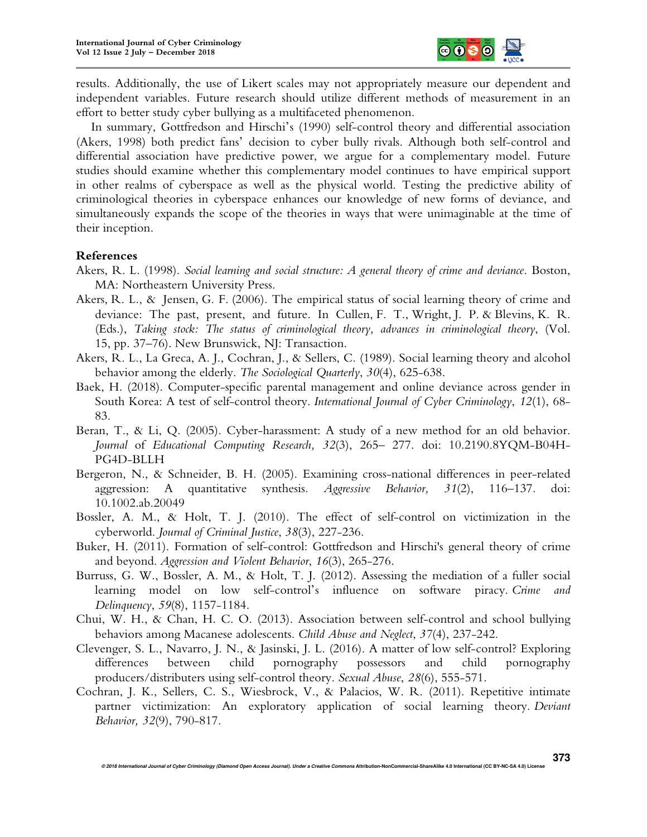

results. Additionally, the use of Likert scales may not appropriately measure our dependent and independent variables. Future research should utilize different methods of measurement in an effort to better study cyber bullying as a multifaceted phenomenon.

In summary, Gottfredson and Hirschi's (1990) self-control theory and differential association (Akers, 1998) both predict fans' decision to cyber bully rivals. Although both self-control and differential association have predictive power, we argue for a complementary model. Future studies should examine whether this complementary model continues to have empirical support in other realms of cyberspace as well as the physical world. Testing the predictive ability of criminological theories in cyberspace enhances our knowledge of new forms of deviance, and simultaneously expands the scope of the theories in ways that were unimaginable at the time of their inception.

## **References**

- Akers, R. L. (1998). *Social learning and social structure: A general theory of crime and deviance*. Boston, MA: Northeastern University Press.
- Akers, R. L., & Jensen, G. F. (2006). The empirical status of social learning theory of crime and deviance: The past, present, and future. In Cullen, F. T., Wright, J. P. & Blevins, K. R. (Eds.), *Taking stock: The status of criminological theory, advances in criminological theory*, (Vol. 15, pp. 37–76). New Brunswick, NJ: Transaction.
- Akers, R. L., La Greca, A. J., Cochran, J., & Sellers, C. (1989). Social learning theory and alcohol behavior among the elderly. *The Sociological Quarterly*, *30*(4), 625-638.
- Baek, H. (2018). Computer-specific parental management and online deviance across gender in South Korea: A test of self-control theory. *International Journal of Cyber Criminology*, *12*(1), 68- 83.
- Beran, T., & Li, Q. (2005). Cyber-harassment: A study of a new method for an old behavior. *Journal* of *Educational Computing Research, 32*(3), 265– 277. doi: 10.2190.8YQM-B04H-PG4D-BLLH
- Bergeron, N., & Schneider, B. H. (2005). Examining cross-national differences in peer-related aggression: A quantitative synthesis*. Aggressive Behavior, 31*(2), 116–137. doi: 10.1002.ab.20049
- Bossler, A. M., & Holt, T. J. (2010). The effect of self-control on victimization in the cyberworld. *Journal of Criminal Justice*, *38*(3), 227-236.
- Buker, H. (2011). Formation of self-control: Gottfredson and Hirschi's general theory of crime and beyond. *Aggression and Violent Behavior*, *16*(3), 265-276.
- Burruss, G. W., Bossler, A. M., & Holt, T. J. (2012). Assessing the mediation of a fuller social learning model on low self-control's influence on software piracy. *Crime and Delinquency*, *59*(8), 1157-1184.
- Chui, W. H., & Chan, H. C. O. (2013). Association between self-control and school bullying behaviors among Macanese adolescents. *Child Abuse and Neglect*, *37*(4), 237-242.
- Clevenger, S. L., Navarro, J. N., & Jasinski, J. L. (2016). A matter of low self-control? Exploring differences between child pornography possessors and child pornography producers/distributers using self-control theory. *Sexual Abuse*, *28*(6), 555-571.
- Cochran, J. K., Sellers, C. S., Wiesbrock, V., & Palacios, W. R. (2011). Repetitive intimate partner victimization: An exploratory application of social learning theory. *Deviant Behavior, 32*(9), 790-817.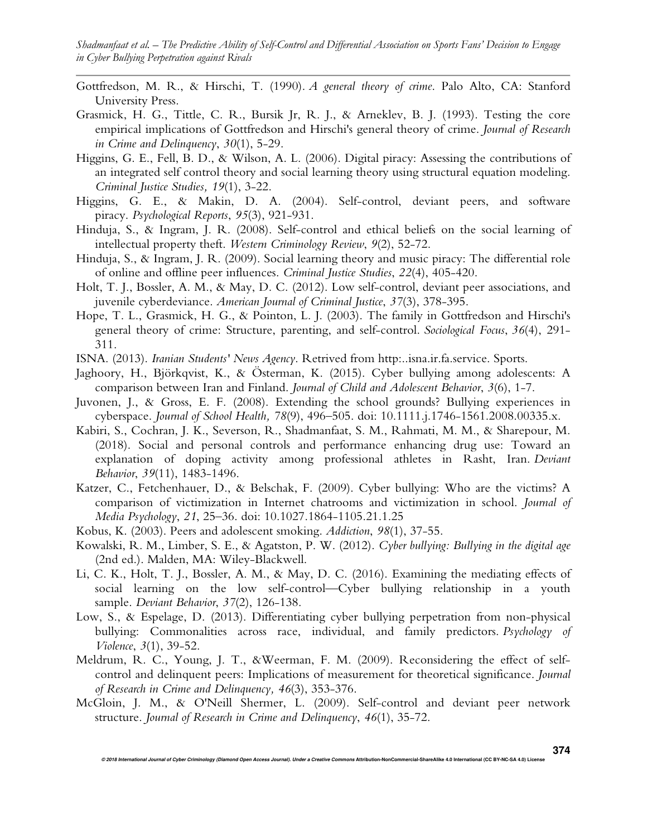- Gottfredson, M. R., & Hirschi, T. (1990). *A general theory of crime*. Palo Alto, CA: Stanford University Press.
- Grasmick, H. G., Tittle, C. R., Bursik Jr, R. J., & Arneklev, B. J. (1993). Testing the core empirical implications of Gottfredson and Hirschi's general theory of crime. *Journal of Research in Crime and Delinquency*, *30*(1), 5-29.
- Higgins, G. E., Fell, B. D., & Wilson, A. L. (2006). Digital piracy: Assessing the contributions of an integrated self control theory and social learning theory using structural equation modeling. *Criminal Justice Studies, 19*(1), 3-22.
- Higgins, G. E., & Makin, D. A. (2004). Self-control, deviant peers, and software piracy. *Psychological Reports*, *95*(3), 921-931.
- Hinduja, S., & Ingram, J. R. (2008). Self-control and ethical beliefs on the social learning of intellectual property theft. *Western Criminology Review*, *9*(2), 52-72.
- Hinduja, S., & Ingram, J. R. (2009). Social learning theory and music piracy: The differential role of online and offline peer influences. *Criminal Justice Studies*, *22*(4), 405-420.
- Holt, T. J., Bossler, A. M., & May, D. C. (2012). Low self-control, deviant peer associations, and juvenile cyberdeviance. *American Journal of Criminal Justice*, *37*(3), 378-395.
- Hope, T. L., Grasmick, H. G., & Pointon, L. J. (2003). The family in Gottfredson and Hirschi's general theory of crime: Structure, parenting, and self-control. *Sociological Focus*, *36*(4), 291- 311.
- ISNA. (2013). *Iranian Students' News Agency*. Retrived from http:..isna.ir.fa.service. Sports.
- Jaghoory, H., Björkqvist, K., & Österman, K. (2015). Cyber bullying among adolescents: A comparison between Iran and Finland. *Journal of Child and Adolescent Behavior*, *3*(6), 1-7.
- Juvonen, J., & Gross, E. F. (2008). Extending the school grounds? Bullying experiences in cyberspace. *Journal of School Health, 78*(9), 496–505. doi: 10.1111.j.1746-1561.2008.00335.x.
- Kabiri, S., Cochran, J. K., Severson, R., Shadmanfaat, S. M., Rahmati, M. M., & Sharepour, M. (2018). Social and personal controls and performance enhancing drug use: Toward an explanation of doping activity among professional athletes in Rasht, Iran. *Deviant Behavior*, *39*(11), 1483-1496.
- Katzer, C., Fetchenhauer, D., & Belschak, F. (2009). Cyber bullying: Who are the victims? A comparison of victimization in Internet chatrooms and victimization in school. *Journal of Media Psychology*, *21*, 25–36. doi: 10.1027.1864-1105.21.1.25
- Kobus, K. (2003). Peers and adolescent smoking. *Addiction*, *98*(1), 37-55.
- Kowalski, R. M., Limber, S. E., & Agatston, P. W. (2012). *Cyber bullying: Bullying in the digital age* (2nd ed.). Malden, MA: Wiley-Blackwell.
- Li, C. K., Holt, T. J., Bossler, A. M., & May, D. C. (2016). Examining the mediating effects of social learning on the low self-control—Cyber bullying relationship in a youth sample. *Deviant Behavior*, *37*(2), 126-138.
- Low, S., & Espelage, D. (2013). Differentiating cyber bullying perpetration from non-physical bullying: Commonalities across race, individual, and family predictors. *Psychology of Violence*, *3*(1), 39-52.
- Meldrum, R. C., Young, J. T., &Weerman, F. M. (2009). Reconsidering the effect of selfcontrol and delinquent peers: Implications of measurement for theoretical significance. *Journal of Research in Crime and Delinquency, 46*(3), 353-376.
- McGloin, J. M., & O'Neill Shermer, L. (2009). Self-control and deviant peer network structure. *Journal of Research in Crime and Delinquency*, *46*(1), 35-72.